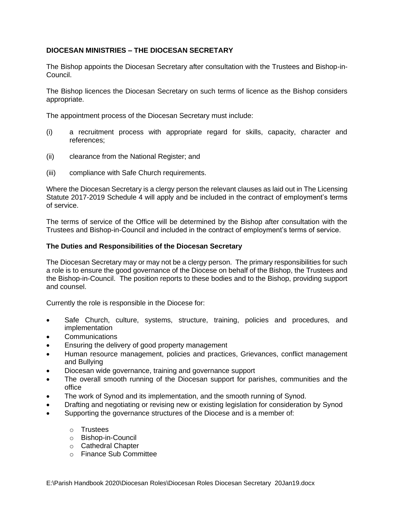## **DIOCESAN MINISTRIES – THE DIOCESAN SECRETARY**

The Bishop appoints the Diocesan Secretary after consultation with the Trustees and Bishop-in-Council.

The Bishop licences the Diocesan Secretary on such terms of licence as the Bishop considers appropriate.

The appointment process of the Diocesan Secretary must include:

- (i) a recruitment process with appropriate regard for skills, capacity, character and references;
- (ii) clearance from the National Register; and
- (iii) compliance with Safe Church requirements.

Where the Diocesan Secretary is a clergy person the relevant clauses as laid out in The Licensing Statute 2017-2019 Schedule 4 will apply and be included in the contract of employment's terms of service.

The terms of service of the Office will be determined by the Bishop after consultation with the Trustees and Bishop-in-Council and included in the contract of employment's terms of service.

## **The Duties and Responsibilities of the Diocesan Secretary**

The Diocesan Secretary may or may not be a clergy person. The primary responsibilities for such a role is to ensure the good governance of the Diocese on behalf of the Bishop, the Trustees and the Bishop-in-Council. The position reports to these bodies and to the Bishop, providing support and counsel.

Currently the role is responsible in the Diocese for:

- Safe Church, culture, systems, structure, training, policies and procedures, and implementation
- **Communications**
- Ensuring the delivery of good property management
- Human resource management, policies and practices, Grievances, conflict management and Bullying
- Diocesan wide governance, training and governance support
- The overall smooth running of the Diocesan support for parishes, communities and the office
- The work of Synod and its implementation, and the smooth running of Synod.
- Drafting and negotiating or revising new or existing legislation for consideration by Synod
- Supporting the governance structures of the Diocese and is a member of:
	- o Trustees
	- o Bishop-in-Council
	- o Cathedral Chapter
	- o Finance Sub Committee